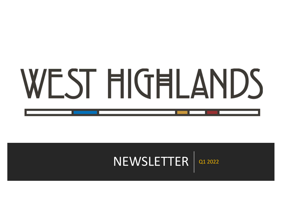# WEST HIGHLANDS

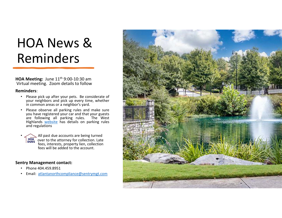# HOA News & Reminders

**HOA Meeting:** June 11<sup>th</sup> 9:00-10:30 am Virtual meeting. Zoom details to follow

#### **Reminders**:

- Please pick up after your pets. Be considerate of your neighbors and pick up every time, whether in common areas or a neighbor's yard.
- Please observe all parking rules and make sure you have registered your car and that your guests are following all parking rules. The West Highlands website has details on parking rules and regulations
- • All past due accounts are being turned **HOA** over to the attorney for collection. Late fees, interests, property lien, collection fees will be added to the account.

#### **Sentry Management contact:**

- Phone 404.459.8951
- Email: atlantanorthcompliance@sentrymgt.com

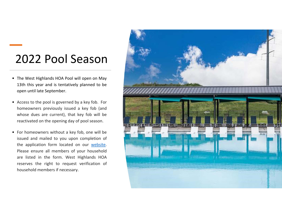## 2022 Pool Season

- The West Highlands HOA Pool will open on May 13th this year and is tentatively planned to be open until late September.
- Access to the pool is governed by a key fob. For homeowners previously issued <sup>a</sup> key fob (and whose dues are current), that key fob will be reactivated on the opening day of pool season.
- For homeowners without a key fob, one will be issued and mailed to you upon completion of the application form located on our website. Please ensure all members of your household are listed in the form. West Highlands HOA reserves the right to request verification of household members if necessary.

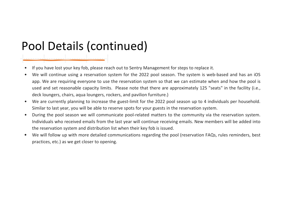## Pool Details (continued)

- •If you have lost your key fob, please reach out to Sentry Management for steps to replace it.
- •We will continue using a reservation system for the 2022 pool season. The system is web-based and has an iOS app. We are requiring everyone to use the reservation system so that we can estimate when and how the pool is used and set reasonable capacity limits. Please note that there are approximately 125 "seats" in the facility (i.e., deck loungers, chairs, aqua loungers, rockers, and pavilion furniture.)
- $\bullet$ We are currently planning to increase the guest-limit for the 2022 pool season up to 4 individuals per household. Similar to last year, you will be able to reserve spots for your guests in the reservation system.
- $\bullet$ During the pool season we will communicate pool-related matters to the community via the reservation system. Individuals who received emails from the last year will continue receiving emails. New members will be added into the reservation system and distribution list when their key fob is issued.
- • We will follow up with more detailed communications regarding the pool (reservation FAQs, rules reminders, best practices, etc.) as we get closer to opening.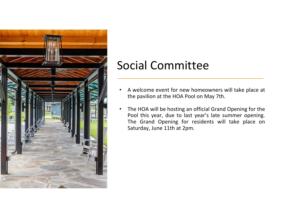

### Social Committee

- • A welcome event for new homeowners will take place at the pavilion at the HOA Pool on May 7th.
- • The HOA will be hosting an official Grand Opening for the Pool this year, due to last year's late summer opening. The Grand Opening for residents will take place on Saturday, June 11th at 2pm.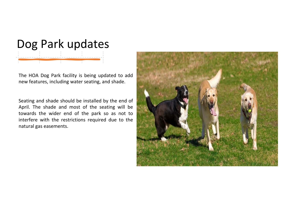# Dog Park updates

The HOA Dog Park facility is being updated to add new features, including water seating, and shade.

Seating and shade should be installed by the end of April. The shade and most of the seating will be towards the wider end of the park so as not to interfere with the restrictions required due to the natural gas easements.